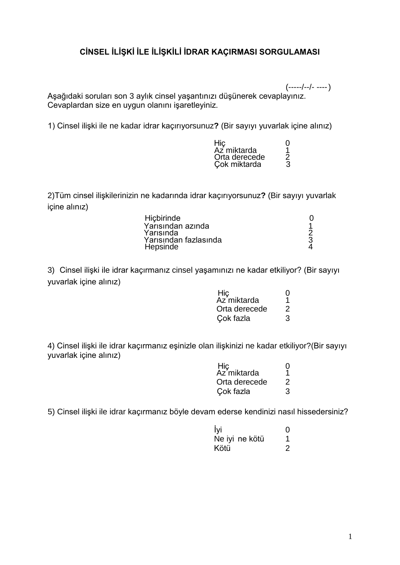# **CİNSEL İLİŞKİ İLE İLİŞKİLİ İDRAR KAÇIRMASI SORGULAMASI**

(-----/--/- ----) Aşağıdaki soruları son 3 aylık cinsel yaşantınızı düşünerek cevaplayınız. Cevaplardan size en uygun olanını işaretleyiniz.

1) Cinsel ilişki ile ne kadar idrar kaçırıyorsunuz**?** (Bir sayıyı yuvarlak içine alınız)

| Hic           | $\mathbf{\Omega}$ |
|---------------|-------------------|
| Az miktarda   | 1                 |
| Orta derecede | 2                 |
| Cok miktarda  | 3                 |

2)Tüm cinsel ilişkilerinizin ne kadarında idrar kaçırıyorsunuz**?** (Bir sayıyı yuvarlak içine alınız)

3) Cinsel ilişki ile idrar kaçırmanız cinsel yaşamınızı ne kadar etkiliyor? (Bir sayıyı yuvarlak içine alınız)

| Hiç           |                |
|---------------|----------------|
| Az miktarda   |                |
| Orta derecede | $\overline{2}$ |
| Cok fazla     | 3              |

4) Cinsel ilişki ile idrar kaçırmanız eşinizle olan ilişkinizi ne kadar etkiliyor?(Bir sayıyı yuvarlak içine alınız)

| Hiç           |                |
|---------------|----------------|
| Az`miktarda   |                |
| Orta derecede | $\overline{2}$ |
| Cok fazla     | 3              |

5) Cinsel ilişki ile idrar kaçırmanız böyle devam ederse kendinizi nasıl hissedersiniz?

| İyi  |                | 0 |
|------|----------------|---|
|      | Ne iyi ne kötü |   |
| Kötü |                | 2 |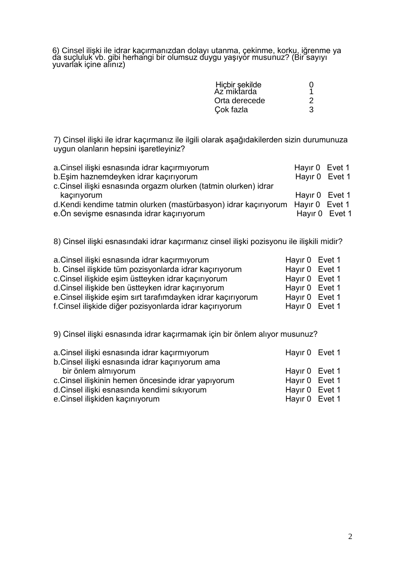6) Cinsel ilişki ile idrar kaçırmanızdan dolayı utanma, çekinme, korku, iğrenme ya da suçluluk vb. gibi herhangi bir olumsuz duygu yaşıyor musunuz? (Bir sayıyı yuvarlak içine alınız)

| Hiçbir şekilde<br>Az miktarda |   |
|-------------------------------|---|
| Orta derecede                 | ◠ |
| Cok fazla                     | 3 |

7) Cinsel ilişki ile idrar kaçırmanız ile ilgili olarak aşağıdakilerden sizin durumunuza uygun olanların hepsini işaretleyiniz?

| a.Cinsel ilişki esnasında idrar kaçırmıyorum                                   | Hayir 0 Evet 1 |  |
|--------------------------------------------------------------------------------|----------------|--|
| b.Eşim haznemdeyken idrar kaçırıyorum                                          | Hayır 0 Evet 1 |  |
| c. Cinsel ilişki esnasında orgazm olurken (tatmin olurken) idrar               |                |  |
| kaçırıyorum                                                                    | Hayir 0 Evet 1 |  |
| d.Kendi kendime tatmin olurken (mastürbasyon) idrar kaçırıyorum Hayır 0 Evet 1 |                |  |
| e. Ön sevişme esnasında idrar kaçırıyorum                                      | Hayir 0 Evet 1 |  |

8) Cinsel ilişki esnasındaki idrar kaçırmanız cinsel ilişki pozisyonu ile ilişkili midir?

| a.Cinsel ilişki esnasında idrar kaçırmıyorum                | Hayir 0 Evet 1 |  |
|-------------------------------------------------------------|----------------|--|
| b. Cinsel ilişkide tüm pozisyonlarda idrar kaçırıyorum      | Hayir 0 Evet 1 |  |
| c.Cinsel ilişkide eşim üstteyken idrar kaçırıyorum          | Hayir 0 Evet 1 |  |
| d.Cinsel ilişkide ben üstteyken idrar kaçırıyorum           | Hayir 0 Evet 1 |  |
| e.Cinsel ilişkide eşim sırt tarafımdayken idrar kaçırıyorum | Hayir 0 Evet 1 |  |
| f.Cinsel ilişkide diğer pozisyonlarda idrar kaçırıyorum     | Hayir 0 Evet 1 |  |
|                                                             |                |  |

9) Cinsel ilişki esnasında idrar kaçırmamak için bir önlem alıyor musunuz?

| a.Cinsel ilişki esnasında idrar kaçırmıyorum       | Hayir 0 Evet 1 |  |
|----------------------------------------------------|----------------|--|
| b.Cinsel ilişki esnasında idrar kaçırıyorum ama    |                |  |
| bir önlem almıyorum                                | Hayir 0 Evet 1 |  |
| c.Cinsel ilişkinin hemen öncesinde idrar yapıyorum | Hayir 0 Evet 1 |  |
| d.Cinsel ilişki esnasında kendimi sıkıyorum        | Hayir 0 Evet 1 |  |
| e.Cinsel ilişkiden kaçınıyorum                     | Hayir 0 Evet 1 |  |
|                                                    |                |  |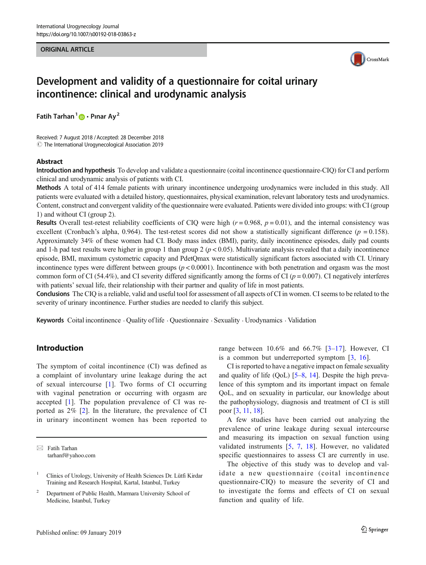### ORIGINAL ARTICLE



# Development and validity of a questionnaire for coital urinary incontinence: clinical and urodynamic analysis

Fatih Tarhan<sup>1</sup>  $\bullet$  · Pinar Ay<sup>2</sup>

Received: 7 August 2018 / Accepted: 28 December 2018  $\odot$  The International Urogynecological Association 2019

#### Abstract

Introduction and hypothesis To develop and validate a questionnaire (coital incontinence questionnaire-CIQ) for CI and perform clinical and urodynamic analysis of patients with CI.

Methods A total of 414 female patients with urinary incontinence undergoing urodynamics were included in this study. All patients were evaluated with a detailed history, questionnaires, physical examination, relevant laboratory tests and urodynamics. Content, construct and convergent validity of the questionnaire were evaluated. Patients were divided into groups: with CI (group 1) and without CI (group 2).

**Results** Overall test-retest reliability coefficients of CIQ were high  $(r = 0.968, p = 0.01)$ , and the internal consistency was excellent (Cronbach's alpha, 0.964). The test-retest scores did not show a statistically significant difference ( $p = 0.158$ ). Approximately 34% of these women had CI. Body mass index (BMI), parity, daily incontinence episodes, daily pad counts and 1-h pad test results were higher in group 1 than group 2 ( $p < 0.05$ ). Multivariate analysis revealed that a daily incontinence episode, BMI, maximum cystometric capacity and PdetQmax were statistically significant factors associated with CI. Urinary incontinence types were different between groups  $(p < 0.0001)$ . Incontinence with both penetration and orgasm was the most common form of CI (54.4%), and CI severity differed significantly among the forms of CI ( $p = 0.007$ ). CI negatively interferes with patients' sexual life, their relationship with their partner and quality of life in most patients.

Conclusions The CIQ is a reliable, valid and useful tool for assessment of all aspects of CI in women. CI seems to be related to the severity of urinary incontinence. Further studies are needed to clarify this subject.

Keywords Coital incontinence . Quality of life . Questionnaire . Sexuality . Urodynamics . Validation

## Introduction

The symptom of coital incontinence (CI) was defined as a complaint of involuntary urine leakage during the act of sexual intercourse [1]. Two forms of CI occurring with vaginal penetration or occurring with orgasm are accepted [1]. The population prevalence of CI was reported as 2% [2]. In the literature, the prevalence of CI in urinary incontinent women has been reported to

 $\boxtimes$  Fatih Tarhan [tarhanf@yahoo.com](mailto:tarhanf@yahoo.com) range between  $10.6\%$  and  $66.7\%$  [3-17]. However, CI is a common but underreported symptom [3, 16].

CI is reported to have a negative impact on female sexuality and quality of life (QoL) [5–8, 14]. Despite the high prevalence of this symptom and its important impact on female QoL, and on sexuality in particular, our knowledge about the pathophysiology, diagnosis and treatment of CI is still poor [3, 11, 18].

A few studies have been carried out analyzing the prevalence of urine leakage during sexual intercourse and measuring its impaction on sexual function using validated instruments [5, 7, 18]. However, no validated specific questionnaires to assess CI are currently in use.

The objective of this study was to develop and validate a new questionnaire (coital incontinence questionnaire-CIQ) to measure the severity of CI and to investigate the forms and effects of CI on sexual function and quality of life.

<sup>&</sup>lt;sup>1</sup> Clinics of Urology, University of Health Sciences Dr. Lütfi Kirdar Training and Research Hospital, Kartal, Istanbul, Turkey

<sup>2</sup> Department of Public Health, Marmara University School of Medicine, Istanbul, Turkey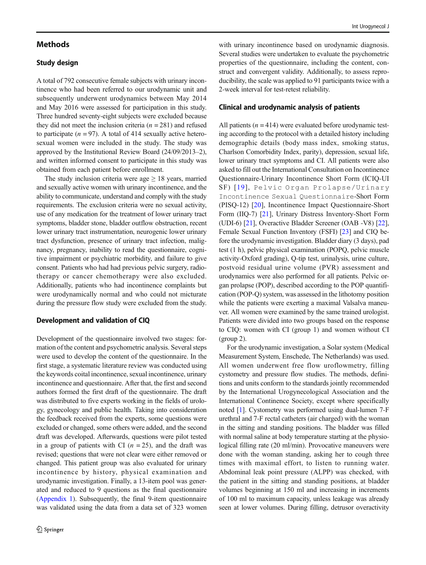## **Methods**

## Study design

A total of 792 consecutive female subjects with urinary incontinence who had been referred to our urodynamic unit and subsequently underwent urodynamics between May 2014 and May 2016 were assessed for participation in this study. Three hundred seventy-eight subjects were excluded because they did not meet the inclusion criteria ( $n = 281$ ) and refused to participate ( $n = 97$ ). A total of 414 sexually active heterosexual women were included in the study. The study was approved by the Institutional Review Board (24/09/2013–2), and written informed consent to participate in this study was obtained from each patient before enrollment.

The study inclusion criteria were age  $\geq 18$  years, married and sexually active women with urinary incontinence, and the ability to communicate, understand and comply with the study requirements. The exclusion criteria were no sexual activity, use of any medication for the treatment of lower urinary tract symptoms, bladder stone, bladder outflow obstruction, recent lower urinary tract instrumentation, neurogenic lower urinary tract dysfunction, presence of urinary tract infection, malignancy, pregnancy, inability to read the questionnaire, cognitive impairment or psychiatric morbidity, and failure to give consent. Patients who had had previous pelvic surgery, radiotherapy or cancer chemotherapy were also excluded. Additionally, patients who had incontinence complaints but were urodynamically normal and who could not micturate during the pressure flow study were excluded from the study.

## Development and validation of CIQ

Development of the questionnaire involved two stages: formation of the content and psychometric analysis. Several steps were used to develop the content of the questionnaire. In the first stage, a systematic literature review was conducted using the keywords coital incontinence, sexual incontinence, urinary incontinence and questionnaire. After that, the first and second authors formed the first draft of the questionnaire. The draft was distributed to five experts working in the fields of urology, gynecology and public health. Taking into consideration the feedback received from the experts, some questions were excluded or changed, some others were added, and the second draft was developed. Afterwards, questions were pilot tested in a group of patients with CI  $(n = 25)$ , and the draft was revised; questions that were not clear were either removed or changed. This patient group was also evaluated for urinary incontinence by history, physical examination and urodynamic investigation. Finally, a 13-item pool was generated and reduced to 9 questions as the final questionnaire (Appendix 1). Subsequently, the final 9-item questionnaire was validated using the data from a data set of 323 women with urinary incontinence based on urodynamic diagnosis. Several studies were undertaken to evaluate the psychometric properties of the questionnaire, including the content, construct and convergent validity. Additionally, to assess reproducibility, the scale was applied to 91 participants twice with a 2-week interval for test-retest reliability.

### Clinical and urodynamic analysis of patients

All patients  $(n = 414)$  were evaluated before urodynamic testing according to the protocol with a detailed history including demographic details (body mass index, smoking status, Charlson Comorbidity Index, parity), depression, sexual life, lower urinary tract symptoms and CI. All patients were also asked to fill out the International Consultation on Incontinence Questionnaire-Urinary Incontinence Short Form (ICIQ-UI SF) [19], Pelvic Organ Prolapse/Urinary Incontinence Sexual Questionnaire-Short Form (PISQ-12) [20], Incontinence Impact Questionnaire-Short Form (IIQ-7) [21], Urinary Distress Inventory-Short Form (UDI-6) [21], Overactive Bladder Screener (OAB -V8) [22], Female Sexual Function Inventory (FSFI) [23] and CIQ before the urodynamic investigation. Bladder diary (3 days), pad test (1 h), pelvic physical examination (POPQ, pelvic muscle activity-Oxford grading), Q-tip test, urinalysis, urine culture, postvoid residual urine volume (PVR) assessment and urodynamics were also performed for all patients. Pelvic organ prolapse (POP), described according to the POP quantification (POP-Q) system, was assessed in the lithotomy position while the patients were exerting a maximal Valsalva maneuver. All women were examined by the same trained urologist. Patients were divided into two groups based on the response to CIQ: women with CI (group 1) and women without CI (group 2).

For the urodynamic investigation, a Solar system (Medical Measurement System, Enschede, The Netherlands) was used. All women underwent free flow uroflowmetry, filling cystometry and pressure flow studies. The methods, definitions and units conform to the standards jointly recommended by the International Urogynecological Association and the International Continence Society, except where specifically noted [1]. Cystometry was performed using dual-lumen 7-F urethral and 7-F rectal catheters (air charged) with the woman in the sitting and standing positions. The bladder was filled with normal saline at body temperature starting at the physiological filling rate (20 ml/min). Provocative maneuvers were done with the woman standing, asking her to cough three times with maximal effort, to listen to running water. Abdominal leak point pressure (ALPP) was checked, with the patient in the sitting and standing positions, at bladder volumes beginning at 150 ml and increasing in increments of 100 ml to maximum capacity, unless leakage was already seen at lower volumes. During filling, detrusor overactivity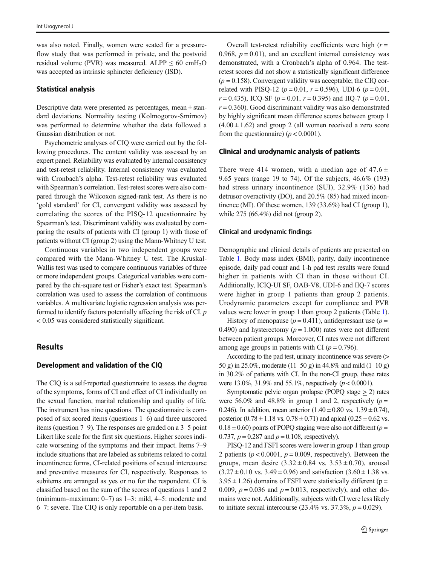was also noted. Finally, women were seated for a pressureflow study that was performed in private, and the postvoid residual volume (PVR) was measured. ALPP  $\leq 60$  cmH<sub>2</sub>O was accepted as intrinsic sphincter deficiency (ISD).

### Statistical analysis

Descriptive data were presented as percentages, mean  $\pm$  standard deviations. Normality testing (Kolmogorov-Smirnov) was performed to determine whether the data followed a Gaussian distribution or not.

Psychometric analyses of CIQ were carried out by the following procedures. The content validity was assessed by an expert panel. Reliability was evaluated by internal consistency and test-retest reliability. Internal consistency was evaluated with Cronbach's alpha. Test-retest reliability was evaluated with Spearman's correlation. Test-retest scores were also compared through the Wilcoxon signed-rank test. As there is no 'gold standard' for CI, convergent validity was assessed by correlating the scores of the PISQ-12 questionnaire by Spearman's test. Discriminant validity was evaluated by comparing the results of patients with CI (group 1) with those of patients without CI (group 2) using the Mann-Whitney U test.

Continuous variables in two independent groups were compared with the Mann-Whitney U test. The Kruskal-Wallis test was used to compare continuous variables of three or more independent groups. Categorical variables were compared by the chi-square test or Fisher's exact test. Spearman's correlation was used to assess the correlation of continuous variables. A multivariate logistic regression analysis was performed to identify factors potentially affecting the risk of CI.  $p$ < 0.05 was considered statistically significant.

## **Results**

## Development and validation of the CIQ

The CIQ is a self-reported questionnaire to assess the degree of the symptoms, forms of CI and effect of CI individually on the sexual function, marital relationship and quality of life. The instrument has nine questions. The questionnaire is composed of six scored items (questions 1–6) and three unscored items (question 7–9). The responses are graded on a 3–5 point Likert like scale for the first six questions. Higher scores indicate worsening of the symptoms and their impact. Items 7–9 include situations that are labeled as subitems related to coital incontinence forms, CI-related positions of sexual intercourse and preventive measures for CI, respectively. Responses to subitems are arranged as yes or no for the respondent. CI is classified based on the sum of the scores of questions 1 and 2 (minimum–maximum: 0–7) as 1–3: mild, 4–5: moderate and 6–7: severe. The CIQ is only reportable on a per-item basis.

Overall test-retest reliability coefficients were high  $(r =$ 0.968,  $p = 0.01$ ), and an excellent internal consistency was demonstrated, with a Cronbach's alpha of 0.964. The testretest scores did not show a statistically significant difference  $(p = 0.158)$ . Convergent validity was acceptable; the CIQ correlated with PISQ-12 ( $p = 0.01$ ,  $r = 0.596$ ), UDI-6 ( $p = 0.01$ ,  $r = 0.435$ ), ICQ-SF ( $p = 0.01$ ,  $r = 0.395$ ) and IIQ-7 ( $p = 0.01$ ,  $r = 0.360$ ). Good discriminant validity was also demonstrated by highly significant mean difference scores between group 1  $(4.00 \pm 1.62)$  and group 2 (all women received a zero score from the questionnaire) ( $p < 0.0001$ ).

#### Clinical and urodynamic analysis of patients

There were 414 women, with a median age of  $47.6 \pm$ 9.65 years (range 19 to 74). Of the subjects, 46.6% (193) had stress urinary incontinence (SUI), 32.9% (136) had detrusor overactivity (DO), and 20.5% (85) had mixed incontinence (MI). Of these women, 139 (33.6%) had CI (group 1), while 275 (66.4%) did not (group 2).

#### Clinical and urodynamic findings

Demographic and clinical details of patients are presented on Table 1. Body mass index (BMI), parity, daily incontinence episode, daily pad count and 1-h pad test results were found higher in patients with CI than in those without CI. Additionally, ICIQ-UI SF, OAB-V8, UDI-6 and IIQ-7 scores were higher in group 1 patients than group 2 patients. Urodynamic parameters except for compliance and PVR values were lower in group 1 than group 2 patients (Table 1).

History of menopause ( $p = 0.411$ ), antidepressant use ( $p =$ 0.490) and hysterectomy ( $p = 1.000$ ) rates were not different between patient groups. Moreover, CI rates were not different among age groups in patients with CI ( $p = 0.796$ ).

According to the pad test, urinary incontinence was severe (> 50 g) in 25.0%, moderate (11–50 g) in 44.8% and mild (1–10 g) in 30.2% of patients with CI. In the non-CI group, these rates were 13.0%, 31.9% and 55.1%, respectively ( $p < 0.0001$ ).

Symptomatic pelvic organ prolapse (POPQ stage > 2) rates were 56.0% and 48.8% in group 1 and 2, respectively  $(p =$ 0.246). In addition, mean anterior  $(1.40 \pm 0.80 \text{ vs. } 1.39 \pm 0.74)$ , posterior  $(0.78 \pm 1.18 \text{ vs. } 0.78 \pm 0.71)$  and apical  $(0.25 \pm 0.62 \text{ vs. } 0.78 \pm 1.18 \text{ vs. } 0.78 \pm 0.71)$  $0.18 \pm 0.60$ ) points of POPQ staging were also not different ( $p =$ 0.737,  $p = 0.287$  and  $p = 0.108$ , respectively).

PISQ-12 and FSFI scores were lower in group 1 than group 2 patients ( $p < 0.0001$ ,  $p = 0.009$ , respectively). Between the groups, mean desire  $(3.32 \pm 0.84 \text{ vs. } 3.53 \pm 0.70)$ , arousal  $(3.27 \pm 0.10 \text{ vs. } 3.49 \pm 0.96)$  and satisfaction  $(3.60 \pm 1.38 \text{ vs. } 3.49 \pm 0.96)$  $3.95 \pm 1.26$ ) domains of FSFI were statistically different (p = 0.009,  $p = 0.036$  and  $p = 0.013$ , respectively), and other domains were not. Additionally, subjects with CI were less likely to initiate sexual intercourse (23.4% vs. 37.3%,  $p = 0.029$ ).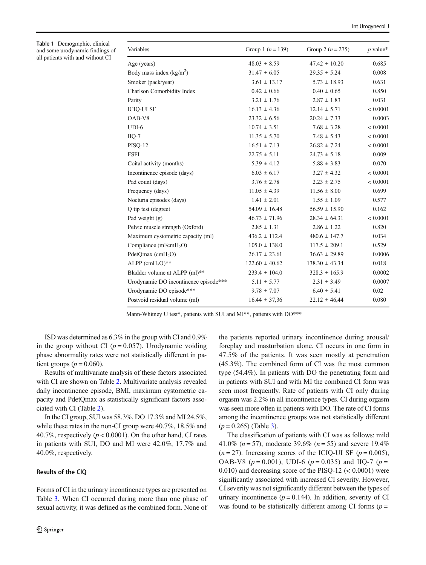| <b>Table 1</b> Demographic, clinical<br>and some urodynamic findings of | Variables                             | Group 1 $(n = 139)$ | Group 2 $(n = 275)$ | $p$ value* |
|-------------------------------------------------------------------------|---------------------------------------|---------------------|---------------------|------------|
| all patients with and without CI                                        | Age (years)                           | $48.03 \pm 8.59$    | $47.42 \pm 10.20$   | 0.685      |
|                                                                         | Body mass index $(kg/m2)$             | $31.47 \pm 6.05$    | $29.35 \pm 5.24$    | 0.008      |
|                                                                         | Smoker (pack/year)                    | $3.61 \pm 13.17$    | $5.73 \pm 18.93$    | 0.631      |
|                                                                         | Charlson Comorbidity Index            | $0.42 \pm 0.66$     | $0.40 \pm 0.65$     | 0.850      |
|                                                                         | Parity                                | $3.21 \pm 1.76$     | $2.87 \pm 1.83$     | 0.031      |
|                                                                         | <b>ICIQ-UI SF</b>                     | $16.13 \pm 4.36$    | $12.14 \pm 5.71$    | < 0.0001   |
|                                                                         | OAB-V8                                | $23.32 \pm 6.56$    | $20.24 \pm 7.33$    | 0.0003     |
|                                                                         | $UDI-6$                               | $10.74 \pm 3.51$    | $7.68 \pm 3.28$     | < 0.0001   |
|                                                                         | $IIQ-7$                               | $11.35 \pm 5.70$    | $7.48 \pm 5.43$     | < 0.0001   |
|                                                                         | <b>PISQ-12</b>                        | $16.51 \pm 7.13$    | $26.82 \pm 7.24$    | < 0.0001   |
|                                                                         | <b>FSFI</b>                           | $22.75 \pm 5.11$    | $24.73 \pm 5.18$    | 0.009      |
|                                                                         | Coital activity (months)              | $5.39 \pm 4.12$     | $5.88 \pm 3.83$     | 0.070      |
|                                                                         | Incontinence episode (days)           | $6.03 \pm 6.17$     | $3.27 \pm 4.32$     | < 0.0001   |
|                                                                         | Pad count (days)                      | $3.76 \pm 2.78$     | $2.23 \pm 2.75$     | < 0.0001   |
|                                                                         | Frequency (days)                      | $11.05 \pm 4.39$    | $11.56 \pm 8.00$    | 0.699      |
|                                                                         | Nocturia episodes (days)              | $1.41 \pm 2.01$     | $1.55 \pm 1.09$     | 0.577      |
|                                                                         | Q tip test (degree)                   | $54.09 \pm 16.48$   | $56.59 \pm 15.90$   | 0.162      |
|                                                                         | Pad weight $(g)$                      | $46.73 \pm 71.96$   | $28.34 \pm 64.31$   | < 0.0001   |
|                                                                         | Pelvic muscle strength (Oxford)       | $2.85 \pm 1.31$     | $2.86 \pm 1.22$     | 0.820      |
|                                                                         | Maximum cystometric capacity (ml)     | $436.2 \pm 112.4$   | $480.6 \pm 147.7$   | 0.034      |
|                                                                         | Compliance (ml/cmH <sub>2</sub> O)    | $105.0 \pm 138.0$   | $117.5 \pm 209.1$   | 0.529      |
|                                                                         | $PdetQmax$ (cmH <sub>2</sub> O)       | $26.17 \pm 23.61$   | $36.63 \pm 29.89$   | 0.0006     |
|                                                                         | ALPP $(cmH2O)**$                      | $122.60 \pm 40.62$  | $138.30 \pm 43.34$  | 0.018      |
|                                                                         | Bladder volume at ALPP (ml)**         | $233.4 \pm 104.0$   | $328.3 \pm 165.9$   | 0.0002     |
|                                                                         | Urodynamic DO incontinence episode*** | $5.11 \pm 5.77$     | $2.31 \pm 3.49$     | 0.0007     |
|                                                                         | Urodynamic DO episode***              | $9.78 \pm 7.07$     | $6.40 \pm 5.41$     | 0.02       |
|                                                                         | Postvoid residual volume (ml)         | $16.44 \pm 37.36$   | $22.12 \pm 46.44$   | 0.080      |

Mann-Whitney U test\*, patients with SUI and MI\*\*, patients with DO\*\*\*

ISD was determined as 6.3% in the group with CI and 0.9% in the group without CI ( $p = 0.057$ ). Urodynamic voiding phase abnormality rates were not statistically different in patient groups ( $p = 0.060$ ).

Results of multivariate analysis of these factors associated with CI are shown on Table 2. Multivariate analysis revealed daily incontinence episode, BMI, maximum cystometric capacity and PdetQmax as statistically significant factors associated with CI (Table 2).

In the CI group, SUI was 58.3%, DO 17.3% and MI 24.5%, while these rates in the non-CI group were 40.7%, 18.5% and 40.7%, respectively ( $p < 0.0001$ ). On the other hand, CI rates in patients with SUI, DO and MI were 42.0%, 17.7% and 40.0%, respectively.

## Results of the CIQ

Table 1 Demographic, clinical

Forms of CI in the urinary incontinence types are presented on Table 3. When CI occurred during more than one phase of sexual activity, it was defined as the combined form. None of the patients reported urinary incontinence during arousal/ foreplay and masturbation alone. CI occurs in one form in 47.5% of the patients. It was seen mostly at penetration (45.3%). The combined form of CI was the most common type (54.4%). In patients with DO the penetrating form and in patients with SUI and with MI the combined CI form was seen most frequently. Rate of patients with CI only during orgasm was 2.2% in all incontinence types. CI during orgasm was seen more often in patients with DO. The rate of CI forms among the incontinence groups was not statistically different  $(p = 0.265)$  (Table 3).

The classification of patients with CI was as follows: mild 41.0% ( $n = 57$ ), moderate 39.6% ( $n = 55$ ) and severe 19.4%  $(n = 27)$ . Increasing scores of the ICIQ-UI SF  $(p = 0.005)$ , OAB-V8 ( $p = 0.001$ ), UDI-6 ( $p = 0.035$ ) and IIQ-7 ( $p =$ 0.010) and decreasing score of the PISQ-12  $(< 0.0001)$  were significantly associated with increased CI severity. However, CI severity was not significantly different between the types of urinary incontinence ( $p = 0.144$ ). In addition, severity of CI was found to be statistically different among CI forms  $(p =$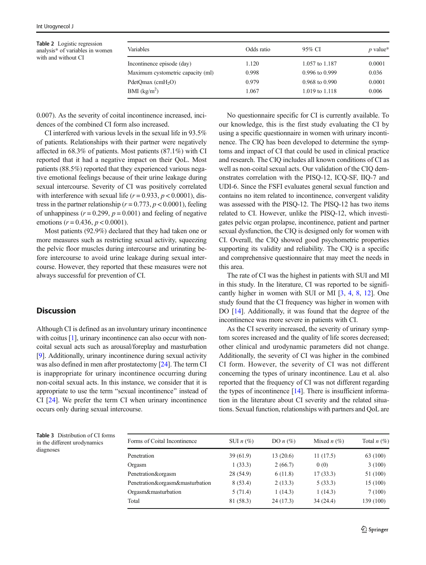Table 2 Logistic regression analysis\* of variables in women with and without CI

| Variables                         | Odds ratio | 95% CI             | p value* |
|-----------------------------------|------------|--------------------|----------|
| Incontinence episode (day)        | 1.120      | 1.057 to 1.187     | 0.0001   |
| Maximum cystometric capacity (ml) | 0.998      | $0.996$ to $0.999$ | 0.036    |
| $PdetQmax$ (cmH <sub>2</sub> O)   | 0.979      | 0.968 to 0.990     | 0.0001   |
| BMI (kg/m <sup>2</sup> )          | 1.067      | 1.019 to 1.118     | 0.006    |

0.007). As the severity of coital incontinence increased, incidences of the combined CI form also increased.

CI interfered with various levels in the sexual life in 93.5% of patients. Relationships with their partner were negatively affected in 68.3% of patients. Most patients (87.1%) with CI reported that it had a negative impact on their QoL. Most patients (88.5%) reported that they experienced various negative emotional feelings because of their urine leakage during sexual intercourse. Severity of CI was positively correlated with interference with sexual life  $(r = 0.933, p < 0.0001)$ , distress in the partner relationship ( $r = 0.773$ ,  $p < 0.0001$ ), feeling of unhappiness ( $r = 0.299$ ,  $p = 0.001$ ) and feeling of negative emotions ( $r = 0.436$ ,  $p < 0.0001$ ).

Most patients (92.9%) declared that they had taken one or more measures such as restricting sexual activity, squeezing the pelvic floor muscles during intercourse and urinating before intercourse to avoid urine leakage during sexual intercourse. However, they reported that these measures were not always successful for prevention of CI.

## **Discussion**

Although CI is defined as an involuntary urinary incontinence with coitus [1], urinary incontinence can also occur with noncoital sexual acts such as arousal/foreplay and masturbation [9]. Additionally, urinary incontinence during sexual activity was also defined in men after prostatectomy [24]. The term CI is inappropriate for urinary incontinence occurring during non-coital sexual acts. In this instance, we consider that it is appropriate to use the term "sexual incontinence" instead of CI [24]. We prefer the term CI when urinary incontinence occurs only during sexual intercourse.

No questionnaire specific for CI is currently available. To our knowledge, this is the first study evaluating the CI by using a specific questionnaire in women with urinary incontinence. The CIQ has been developed to determine the symptoms and impact of CI that could be used in clinical practice and research. The CIQ includes all known conditions of CI as well as non-coital sexual acts. Our validation of the CIQ demonstrates correlation with the PISQ-12, ICQ-SF, IIQ-7 and UDI-6. Since the FSFI evaluates general sexual function and contains no item related to incontinence, convergent validity was assessed with the PISQ-12. The PISQ-12 has two items related to CI. However, unlike the PISQ-12, which investigates pelvic organ prolapse, incontinence, patient and partner sexual dysfunction, the CIQ is designed only for women with CI. Overall, the CIQ showed good psychometric properties supporting its validity and reliability. The CIQ is a specific and comprehensive questionnaire that may meet the needs in this area.

The rate of CI was the highest in patients with SUI and MI in this study. In the literature, CI was reported to be significantly higher in women with SUI or MI [3, 4, 8, 12]. One study found that the CI frequency was higher in women with DO [14]. Additionally, it was found that the degree of the incontinence was more severe in patients with CI.

As the CI severity increased, the severity of urinary symptom scores increased and the quality of life scores decreased; other clinical and urodynamic parameters did not change. Additionally, the severity of CI was higher in the combined CI form. However, the severity of CI was not different concerning the types of urinary incontinence. Lau et al. also reported that the frequency of CI was not different regarding the types of incontinence  $[14]$ . There is insufficient information in the literature about CI severity and the related situations. Sexual function, relationships with partners and QoL are

|           | <b>Table 3</b> Distribution of CI forms |
|-----------|-----------------------------------------|
|           | in the different urodynamics            |
| diagnoses |                                         |

| Forms of Coital Incontinence    | SUI $n$ (%) | DO $n$ (%) | Mixed $n$ (%) | Total $n(\%)$ |
|---------------------------------|-------------|------------|---------------|---------------|
| Penetration                     | 39(61.9)    | 13(20.6)   | 11(17.5)      | 63 (100)      |
| Orgasm                          | 1(33.3)     | 2(66.7)    | 0(0)          | 3(100)        |
| Penetration&orgasm              | 28 (54.9)   | 6(11.8)    | 17(33.3)      | 51 (100)      |
| Penetration&orgasm&masturbation | 8(53.4)     | 2(13.3)    | 5(33.3)       | 15 (100)      |
| Orgasm&masturbation             | 5(71.4)     | 1(14.3)    | 1(14.3)       | 7(100)        |
| Total                           | 81 (58.3)   | 24(17.3)   | 34(24.4)      | 139 (100)     |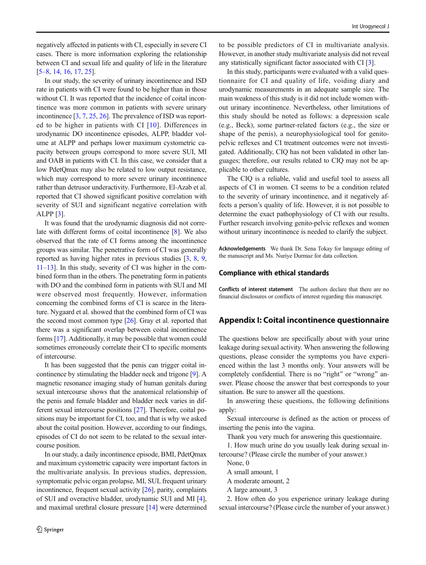negatively affected in patients with CI, especially in severe CI cases. There is more information exploring the relationship between CI and sexual life and quality of life in the literature [5–8, 14, 16, 17, 25].

In our study, the severity of urinary incontinence and ISD rate in patients with CI were found to be higher than in those without CI. It was reported that the incidence of coital incontinence was more common in patients with severe urinary incontinence [3, 7, 25, 26]. The prevalence of ISD was reported to be higher in patients with CI [10]. Differences in urodynamic DO incontinence episodes, ALPP, bladder volume at ALPP and perhaps lower maximum cystometric capacity between groups correspond to more severe SUI, MI and OAB in patients with CI. In this case, we consider that a low PdetQmax may also be related to low output resistance, which may correspond to more severe urinary incontinence rather than detrusor underactivity. Furthermore, El-Azab et al. reported that CI showed significant positive correlation with severity of SUI and significant negative correlation with ALPP [3].

It was found that the urodynamic diagnosis did not correlate with different forms of coital incontinence [8]. We also observed that the rate of CI forms among the incontinence groups was similar. The penetrative form of CI was generally reported as having higher rates in previous studies [3, 8, 9, 11–13]. In this study, severity of CI was higher in the combined form than in the others. The penetrating form in patients with DO and the combined form in patients with SUI and MI were observed most frequently. However, information concerning the combined forms of CI is scarce in the literature. Nygaard et al. showed that the combined form of CI was the second most common type [26]. Gray et al. reported that there was a significant overlap between coital incontinence forms [17]. Additionally, it may be possible that women could sometimes erroneously correlate their CI to specific moments of intercourse.

It has been suggested that the penis can trigger coital incontinence by stimulating the bladder neck and trigone [9]. A magnetic resonance imaging study of human genitals during sexual intercourse shows that the anatomical relationship of the penis and female bladder and bladder neck varies in different sexual intercourse positions [27]. Therefore, coital positions may be important for CI, too, and that is why we asked about the coital position. However, according to our findings, episodes of CI do not seem to be related to the sexual intercourse position.

In our study, a daily incontinence episode, BMI, PdetQmax and maximum cystometric capacity were important factors in the multivariate analysis. In previous studies, depression, symptomatic pelvic organ prolapse, MI, SUI, frequent urinary incontinence, frequent sexual activity [26], parity, complaints of SUI and overactive bladder, urodynamic SUI and MI [4], and maximal urethral closure pressure [14] were determined to be possible predictors of CI in multivariate analysis. However, in another study multivariate analysis did not reveal any statistically significant factor associated with CI [3].

In this study, participants were evaluated with a valid questionnaire for CI and quality of life, voiding diary and urodynamic measurements in an adequate sample size. The main weakness of this study is it did not include women without urinary incontinence. Nevertheless, other limitations of this study should be noted as follows: a depression scale (e.g., Beck), some partner-related factors (e.g., the size or shape of the penis), a neurophysiological tool for genitopelvic reflexes and CI treatment outcomes were not investigated. Additionally, CIQ has not been validated in other languages; therefore, our results related to CIQ may not be applicable to other cultures.

The CIQ is a reliable, valid and useful tool to assess all aspects of CI in women. CI seems to be a condition related to the severity of urinary incontinence, and it negatively affects a person's quality of life. However, it is not possible to determine the exact pathophysiology of CI with our results. Further research involving genito-pelvic reflexes and women without urinary incontinence is needed to clarify the subject.

Acknowledgements We thank Dr. Sena Tokay for language editing of the manuscript and Ms. Nuriye Durmaz for data collection.

## Compliance with ethical standards

Conflicts of interest statement The authors declare that there are no financial disclosures or conflicts of interest regarding this manuscript.

## Appendix I: Coital incontinence questionnaire

The questions below are specifically about with your urine leakage during sexual activity. When answering the following questions, please consider the symptoms you have experienced within the last 3 months only. Your answers will be completely confidential. There is no "right" or "wrong" answer. Please choose the answer that best corresponds to your situation. Be sure to answer all the questions.

In answering these questions, the following definitions apply:

Sexual intercourse is defined as the action or process of inserting the penis into the vagina.

Thank you very much for answering this questionnaire.

1. How much urine do you usually leak during sexual intercourse? (Please circle the number of your answer.)

None, 0

A small amount, 1

A moderate amount, 2

A large amount, 3

2. How often do you experience urinary leakage during sexual intercourse? (Please circle the number of your answer.)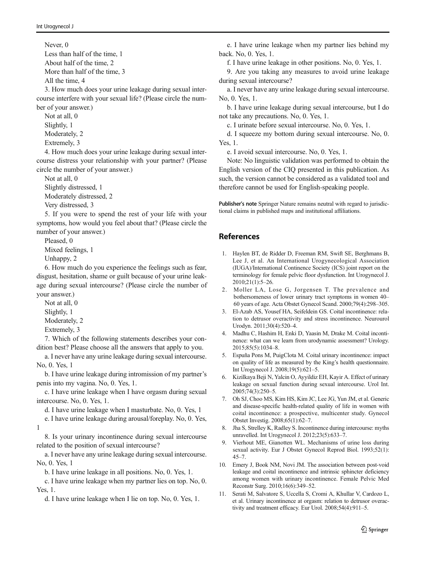Never, 0 Less than half of the time, 1 About half of the time, 2 More than half of the time, 3

All the time, 4

3. How much does your urine leakage during sexual intercourse interfere with your sexual life? (Please circle the number of your answer.)

Not at all, 0 Slightly, 1

Moderately, 2

Extremely, 3

4. How much does your urine leakage during sexual intercourse distress your relationship with your partner? (Please circle the number of your answer.)

Not at all, 0 Slightly distressed, 1

Moderately distressed, 2

Very distressed, 3

5. If you were to spend the rest of your life with your symptoms, how would you feel about that? (Please circle the number of your answer.)

Pleased, 0

Mixed feelings, 1

Unhappy, 2

6. How much do you experience the feelings such as fear, disgust, hesitation, shame or guilt because of your urine leakage during sexual intercourse? (Please circle the number of your answer.)

Not at all, 0

Slightly, 1

Moderately, 2

Extremely, 3

7. Which of the following statements describes your condition best? Please choose all the answers that apply to you.

a. I never have any urine leakage during sexual intercourse. No, 0. Yes, 1

b. I have urine leakage during intromission of my partner's penis into my vagina. No, 0. Yes, 1.

c. I have urine leakage when I have orgasm during sexual intercourse. No, 0. Yes, 1.

d. I have urine leakage when I masturbate. No, 0. Yes, 1

e. I have urine leakage during arousal/foreplay. No, 0. Yes, 1

8. Is your urinary incontinence during sexual intercourse related to the position of sexual intercourse?

a. I never have any urine leakage during sexual intercourse. No, 0. Yes, 1

b. I have urine leakage in all positions. No, 0. Yes, 1.

c. I have urine leakage when my partner lies on top. No, 0. Yes, 1.

d. I have urine leakage when I lie on top. No, 0. Yes, 1.

e. I have urine leakage when my partner lies behind my back. No, 0. Yes, 1.

f. I have urine leakage in other positions. No, 0. Yes, 1.

9. Are you taking any measures to avoid urine leakage during sexual intercourse?

a. I never have any urine leakage during sexual intercourse. No, 0. Yes, 1.

b. I have urine leakage during sexual intercourse, but I do not take any precautions. No, 0. Yes, 1.

c. I urinate before sexual intercourse. No, 0. Yes, 1.

d. I squeeze my bottom during sexual intercourse. No, 0. Yes, 1.

e. I avoid sexual intercourse. No, 0. Yes, 1.

Note: No linguistic validation was performed to obtain the English version of the CIQ presented in this publication. As such, the version cannot be considered as a validated tool and therefore cannot be used for English-speaking people.

Publisher's note Springer Nature remains neutral with regard to jurisdictional claims in published maps and institutional affiliations.

# References

- 1. Haylen BT, de Ridder D, Freeman RM, Swift SE, Berghmans B, Lee J, et al. An International Urogynecological Association (IUGA)/International Continence Society (ICS) joint report on the terminology for female pelvic floor dysfunction. Int Urogynecol J. 2010;21(1):5–26.
- 2. Moller LA, Lose G, Jorgensen T. The prevalence and bothersomeness of lower urinary tract symptoms in women 40– 60 years of age. Acta Obstet Gynecol Scand. 2000;79(4):298–305.
- 3. El-Azab AS, Yousef HA, Seifeldein GS. Coital incontinence: relation to detrusor overactivity and stress incontinence. Neurourol Urodyn. 2011;30(4):520–4.
- 4. Madhu C, Hashim H, Enki D, Yaasin M, Drake M. Coital incontinence: what can we learn from urodynamic assessment? Urology. 2015;85(5):1034–8.
- 5. Espuña Pons M, PuigClota M. Coital urinary incontinence: impact on quality of life as measured by the King's health questionnaire. Int Urogynecol J. 2008;19(5):621–5.
- 6. Kizilkaya Beji N, Yalcin O, Ayyildiz EH, Kayir A. Effect of urinary leakage on sexual function during sexual intercourse. Urol Int. 2005;74(3):250–5.
- 7. Oh SJ, Choo MS, Kim HS, Kim JC, Lee JG, Yun JM, et al. Generic and disease-specific health-related quality of life in women with coital incontinence: a prospective, multicenter study. Gynecol Obstet Investig. 2008;65(1):62–7.
- 8. Jha S, Strelley K, Radley S. Incontinence during intercourse: myths unravelled. Int Urogynecol J. 2012;23(5):633–7.
- 9. Vierhout ME, Gianotten WL. Mechanisms of urine loss during sexual activity. Eur J Obstet Gynecol Reprod Biol. 1993;52(1): 45–7.
- 10. Emery J, Book NM, Novi JM. The association between post-void leakage and coital incontinence and intrinsic sphincter deficiency among women with urinary incontinence. Female Pelvic Med Reconstr Surg. 2010;16(6):349–52.
- 11. Serati M, Salvatore S, Uccella S, Cromi A, Khullar V, Cardozo L, et al. Urinary incontinence at orgasm: relation to detrusor overactivity and treatment efficacy. Eur Urol. 2008;54(4):911–5.